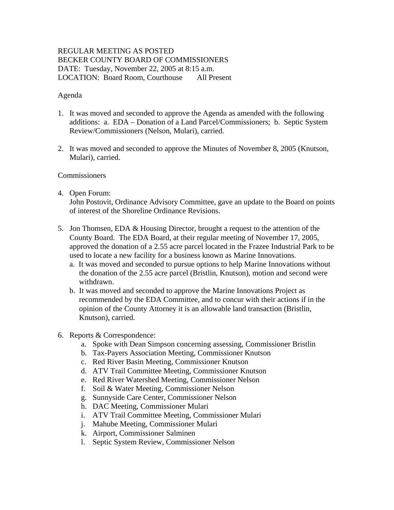# REGULAR MEETING AS POSTED BECKER COUNTY BOARD OF COMMISSIONERS DATE: Tuesday, November 22, 2005 at 8:15 a.m. LOCATION: Board Room, Courthouse All Present

### Agenda

- 1. It was moved and seconded to approve the Agenda as amended with the following additions: a. EDA – Donation of a Land Parcel/Commissioners; b. Septic System Review/Commissioners (Nelson, Mulari), carried.
- 2. It was moved and seconded to approve the Minutes of November 8, 2005 (Knutson, Mulari), carried.

#### **Commissioners**

4. Open Forum:

John Postovit, Ordinance Advisory Committee, gave an update to the Board on points of interest of the Shoreline Ordinance Revisions.

- 5. Jon Thomsen, EDA & Housing Director, brought a request to the attention of the County Board. The EDA Board, at their regular meeting of November 17, 2005, approved the donation of a 2.55 acre parcel located in the Frazee Industrial Park to be used to locate a new facility for a business known as Marine Innovations.
	- a. It was moved and seconded to pursue options to help Marine Innovations without the donation of the 2.55 acre parcel (Bristlin, Knutson), motion and second were withdrawn.
	- b. It was moved and seconded to approve the Marine Innovations Project as recommended by the EDA Committee, and to concur with their actions if in the opinion of the County Attorney it is an allowable land transaction (Bristlin, Knutson), carried.
- 6. Reports & Correspondence:
	- a. Spoke with Dean Simpson concerning assessing, Commissioner Bristlin
	- b. Tax-Payers Association Meeting, Commissioner Knutson
	- c. Red River Basin Meeting, Commissioner Knutson
	- d. ATV Trail Committee Meeting, Commissioner Knutson
	- e. Red River Watershed Meeting, Commissioner Nelson
	- f. Soil & Water Meeting, Commissioner Nelson
	- g. Sunnyside Care Center, Commissioner Nelson
	- h. DAC Meeting, Commissioner Mulari
	- i. ATV Trail Committee Meeting, Commissioner Mulari
	- j. Mahube Meeting, Commissioner Mulari
	- k. Airport, Commissioner Salminen
	- l. Septic System Review, Commissioner Nelson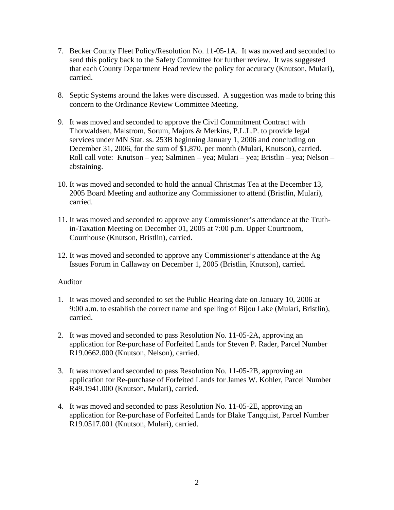- 7. Becker County Fleet Policy/Resolution No. 11-05-1A. It was moved and seconded to send this policy back to the Safety Committee for further review. It was suggested that each County Department Head review the policy for accuracy (Knutson, Mulari), carried.
- 8. Septic Systems around the lakes were discussed. A suggestion was made to bring this concern to the Ordinance Review Committee Meeting.
- 9. It was moved and seconded to approve the Civil Commitment Contract with Thorwaldsen, Malstrom, Sorum, Majors & Merkins, P.L.L.P. to provide legal services under MN Stat. ss. 253B beginning January 1, 2006 and concluding on December 31, 2006, for the sum of \$1,870. per month (Mulari, Knutson), carried. Roll call vote: Knutson – yea; Salminen – yea; Mulari – yea; Bristlin – yea; Nelson – abstaining.
- 10. It was moved and seconded to hold the annual Christmas Tea at the December 13, 2005 Board Meeting and authorize any Commissioner to attend (Bristlin, Mulari), carried.
- 11. It was moved and seconded to approve any Commissioner's attendance at the Truthin-Taxation Meeting on December 01, 2005 at 7:00 p.m. Upper Courtroom, Courthouse (Knutson, Bristlin), carried.
- 12. It was moved and seconded to approve any Commissioner's attendance at the Ag Issues Forum in Callaway on December 1, 2005 (Bristlin, Knutson), carried.

#### Auditor

- 1. It was moved and seconded to set the Public Hearing date on January 10, 2006 at 9:00 a.m. to establish the correct name and spelling of Bijou Lake (Mulari, Bristlin), carried.
- 2. It was moved and seconded to pass Resolution No. 11-05-2A, approving an application for Re-purchase of Forfeited Lands for Steven P. Rader, Parcel Number R19.0662.000 (Knutson, Nelson), carried.
- 3. It was moved and seconded to pass Resolution No. 11-05-2B, approving an application for Re-purchase of Forfeited Lands for James W. Kohler, Parcel Number R49.1941.000 (Knutson, Mulari), carried.
- 4. It was moved and seconded to pass Resolution No. 11-05-2E, approving an application for Re-purchase of Forfeited Lands for Blake Tangquist, Parcel Number R19.0517.001 (Knutson, Mulari), carried.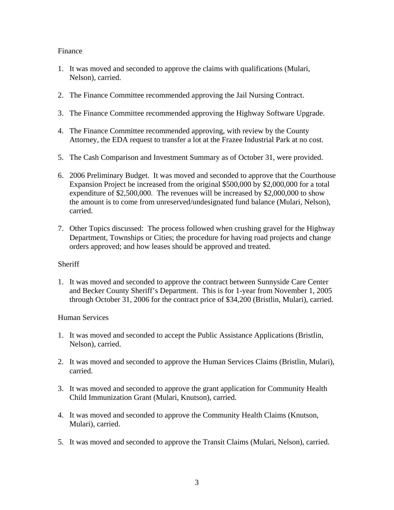### Finance

- 1. It was moved and seconded to approve the claims with qualifications (Mulari, Nelson), carried.
- 2. The Finance Committee recommended approving the Jail Nursing Contract.
- 3. The Finance Committee recommended approving the Highway Software Upgrade.
- 4. The Finance Committee recommended approving, with review by the County Attorney, the EDA request to transfer a lot at the Frazee Industrial Park at no cost.
- 5. The Cash Comparison and Investment Summary as of October 31, were provided.
- 6. 2006 Preliminary Budget. It was moved and seconded to approve that the Courthouse Expansion Project be increased from the original \$500,000 by \$2,000,000 for a total expenditure of \$2,500,000. The revenues will be increased by \$2,000,000 to show the amount is to come from unreserved/undesignated fund balance (Mulari, Nelson), carried.
- 7. Other Topics discussed: The process followed when crushing gravel for the Highway Department, Townships or Cities; the procedure for having road projects and change orders approved; and how leases should be approved and treated.

## **Sheriff**

1. It was moved and seconded to approve the contract between Sunnyside Care Center and Becker County Sheriff's Department. This is for 1-year from November 1, 2005 through October 31, 2006 for the contract price of \$34,200 (Bristlin, Mulari), carried.

## Human Services

- 1. It was moved and seconded to accept the Public Assistance Applications (Bristlin, Nelson), carried.
- 2. It was moved and seconded to approve the Human Services Claims (Bristlin, Mulari), carried.
- 3. It was moved and seconded to approve the grant application for Community Health Child Immunization Grant (Mulari, Knutson), carried.
- 4. It was moved and seconded to approve the Community Health Claims (Knutson, Mulari), carried.
- 5. It was moved and seconded to approve the Transit Claims (Mulari, Nelson), carried.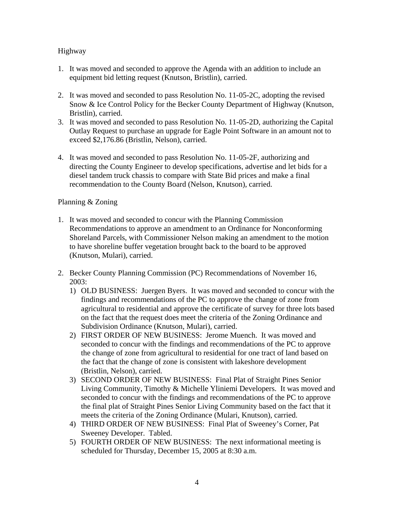## Highway

- 1. It was moved and seconded to approve the Agenda with an addition to include an equipment bid letting request (Knutson, Bristlin), carried.
- 2. It was moved and seconded to pass Resolution No. 11-05-2C, adopting the revised Snow & Ice Control Policy for the Becker County Department of Highway (Knutson, Bristlin), carried.
- 3. It was moved and seconded to pass Resolution No. 11-05-2D, authorizing the Capital Outlay Request to purchase an upgrade for Eagle Point Software in an amount not to exceed \$2,176.86 (Bristlin, Nelson), carried.
- 4. It was moved and seconded to pass Resolution No. 11-05-2F, authorizing and directing the County Engineer to develop specifications, advertise and let bids for a diesel tandem truck chassis to compare with State Bid prices and make a final recommendation to the County Board (Nelson, Knutson), carried.

## Planning & Zoning

- 1. It was moved and seconded to concur with the Planning Commission Recommendations to approve an amendment to an Ordinance for Nonconforming Shoreland Parcels, with Commissioner Nelson making an amendment to the motion to have shoreline buffer vegetation brought back to the board to be approved (Knutson, Mulari), carried.
- 2. Becker County Planning Commission (PC) Recommendations of November 16, 2003:
	- 1) OLD BUSINESS: Juergen Byers. It was moved and seconded to concur with the findings and recommendations of the PC to approve the change of zone from agricultural to residential and approve the certificate of survey for three lots based on the fact that the request does meet the criteria of the Zoning Ordinance and Subdivision Ordinance (Knutson, Mulari), carried.
	- 2) FIRST ORDER OF NEW BUSINESS: Jerome Muench. It was moved and seconded to concur with the findings and recommendations of the PC to approve the change of zone from agricultural to residential for one tract of land based on the fact that the change of zone is consistent with lakeshore development (Bristlin, Nelson), carried.
	- 3) SECOND ORDER OF NEW BUSINESS: Final Plat of Straight Pines Senior Living Community, Timothy & Michelle Yliniemi Developers. It was moved and seconded to concur with the findings and recommendations of the PC to approve the final plat of Straight Pines Senior Living Community based on the fact that it meets the criteria of the Zoning Ordinance (Mulari, Knutson), carried.
	- 4) THIRD ORDER OF NEW BUSINESS: Final Plat of Sweeney's Corner, Pat Sweeney Developer. Tabled.
	- 5) FOURTH ORDER OF NEW BUSINESS: The next informational meeting is scheduled for Thursday, December 15, 2005 at 8:30 a.m.